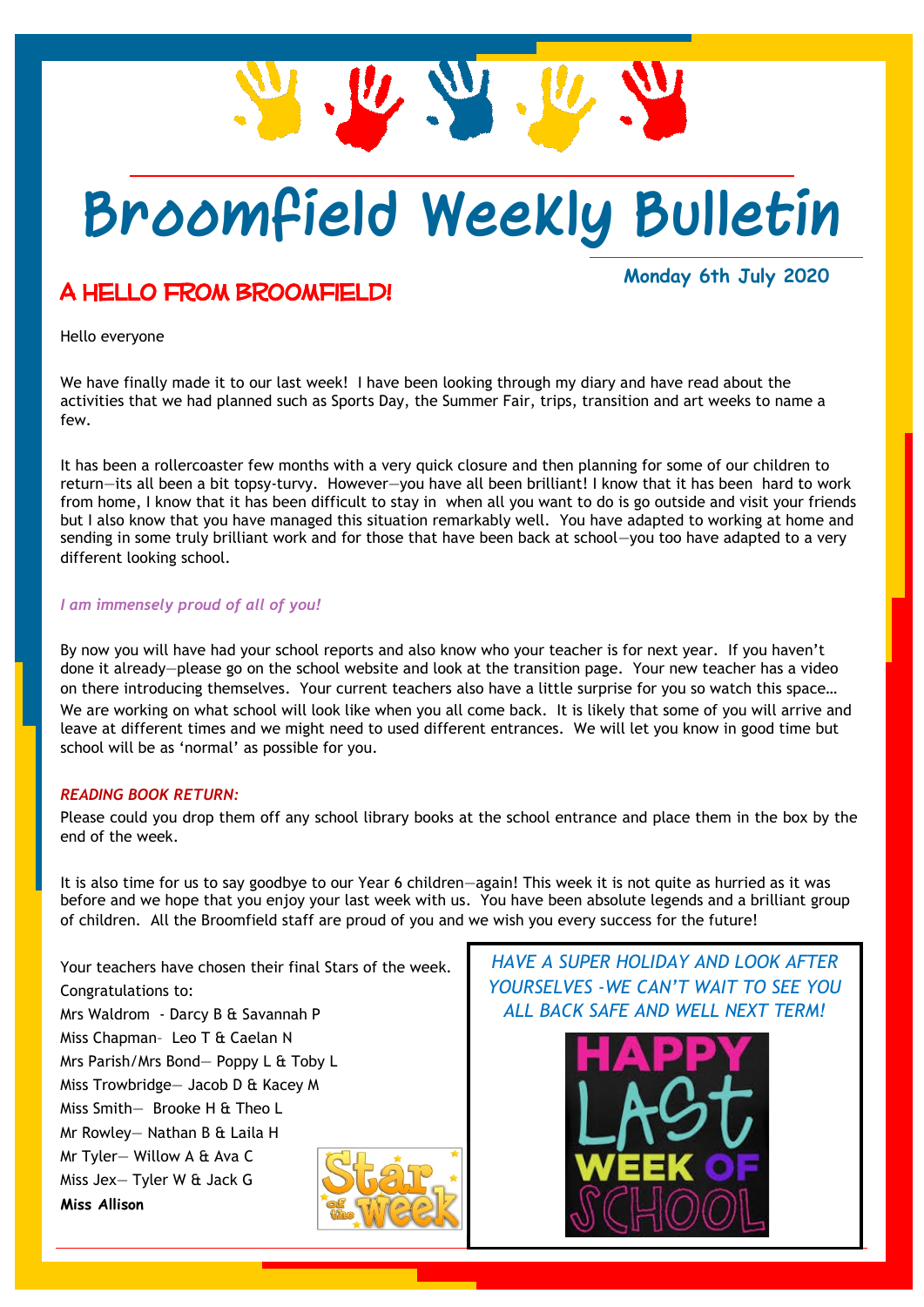

## **Broomfield Weekly Bulletin**

### A hello from Broomfield!

**Monday 6th July 2020**

Hello everyone

We have finally made it to our last week! I have been looking through my diary and have read about the activities that we had planned such as Sports Day, the Summer Fair, trips, transition and art weeks to name a few.

It has been a rollercoaster few months with a very quick closure and then planning for some of our children to return—its all been a bit topsy-turvy. However—you have all been brilliant! I know that it has been hard to work from home, I know that it has been difficult to stay in when all you want to do is go outside and visit your friends but I also know that you have managed this situation remarkably well. You have adapted to working at home and sending in some truly brilliant work and for those that have been back at school—you too have adapted to a very different looking school.

#### *I am immensely proud of all of you!*

By now you will have had your school reports and also know who your teacher is for next year. If you haven't done it already—please go on the school website and look at the transition page. Your new teacher has a video on there introducing themselves. Your current teachers also have a little surprise for you so watch this space… We are working on what school will look like when you all come back. It is likely that some of you will arrive and leave at different times and we might need to used different entrances. We will let you know in good time but school will be as 'normal' as possible for you.

#### *READING BOOK RETURN:*

Please could you drop them off any school library books at the school entrance and place them in the box by the end of the week.

It is also time for us to say goodbye to our Year 6 children—again! This week it is not quite as hurried as it was before and we hope that you enjoy your last week with us. You have been absolute legends and a brilliant group of children. All the Broomfield staff are proud of you and we wish you every success for the future!

Your teachers have chosen their final Stars of the week. Congratulations to: Mrs Waldrom - Darcy B & Savannah P Miss Chapman– Leo T & Caelan N Mrs Parish/Mrs Bond— Poppy L & Toby L Miss Trowbridge— Jacob D & Kacey M Miss Smith— Brooke H & Theo L Mr Rowley— Nathan B & Laila H Mr Tyler— Willow A & Ava C Miss Jex— Tyler W & Jack G **Miss Allison**

*HAVE A SUPER HOLIDAY AND LOOK AFTER YOURSELVES -WE CAN'T WAIT TO SEE YOU ALL BACK SAFE AND WELL NEXT TERM!*